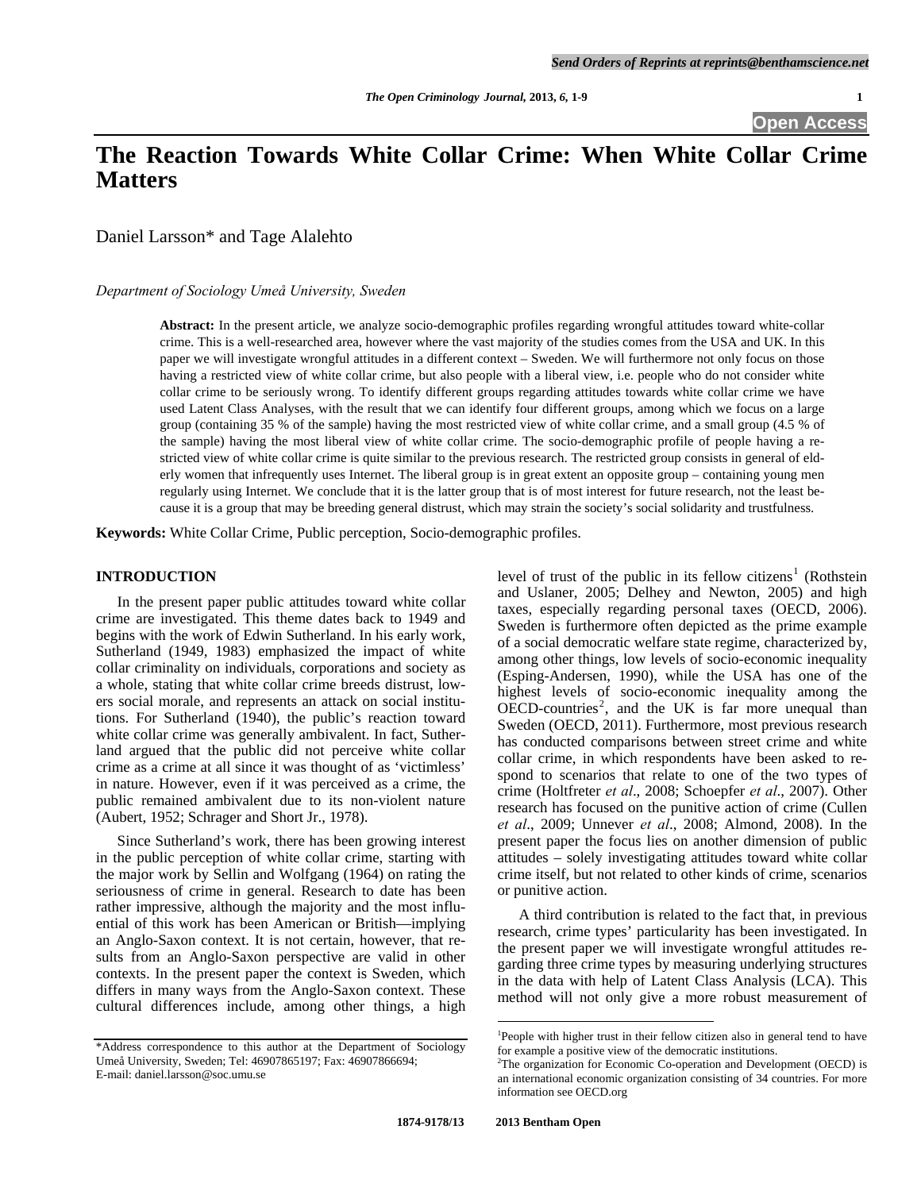# **The Reaction Towards White Collar Crime: When White Collar Crime Matters**

Daniel Larsson\* and Tage Alalehto

### *Department of Sociology Umeå University, Sweden*

**Abstract:** In the present article, we analyze socio-demographic profiles regarding wrongful attitudes toward white-collar crime. This is a well-researched area, however where the vast majority of the studies comes from the USA and UK. In this paper we will investigate wrongful attitudes in a different context – Sweden. We will furthermore not only focus on those having a restricted view of white collar crime, but also people with a liberal view, i.e. people who do not consider white collar crime to be seriously wrong. To identify different groups regarding attitudes towards white collar crime we have used Latent Class Analyses, with the result that we can identify four different groups, among which we focus on a large group (containing 35 % of the sample) having the most restricted view of white collar crime, and a small group (4.5 % of the sample) having the most liberal view of white collar crime. The socio-demographic profile of people having a restricted view of white collar crime is quite similar to the previous research. The restricted group consists in general of elderly women that infrequently uses Internet. The liberal group is in great extent an opposite group – containing young men regularly using Internet. We conclude that it is the latter group that is of most interest for future research, not the least because it is a group that may be breeding general distrust, which may strain the society's social solidarity and trustfulness.

**Keywords:** White Collar Crime, Public perception, Socio-demographic profiles.

#### **INTRODUCTION**

 In the present paper public attitudes toward white collar crime are investigated. This theme dates back to 1949 and begins with the work of Edwin Sutherland. In his early work, Sutherland (1949, 1983) emphasized the impact of white collar criminality on individuals, corporations and society as a whole, stating that white collar crime breeds distrust, lowers social morale, and represents an attack on social institutions. For Sutherland (1940), the public's reaction toward white collar crime was generally ambivalent. In fact, Sutherland argued that the public did not perceive white collar crime as a crime at all since it was thought of as 'victimless' in nature. However, even if it was perceived as a crime, the public remained ambivalent due to its non-violent nature (Aubert, 1952; Schrager and Short Jr., 1978).

 Since Sutherland's work, there has been growing interest in the public perception of white collar crime, starting with the major work by Sellin and Wolfgang (1964) on rating the seriousness of crime in general. Research to date has been rather impressive, although the majority and the most influential of this work has been American or British—implying an Anglo-Saxon context. It is not certain, however, that results from an Anglo-Saxon perspective are valid in other contexts. In the present paper the context is Sweden, which differs in many ways from the Anglo-Saxon context. These cultural differences include, among other things, a high

level of trust of the public in its fellow citizens<sup>[1](#page-0-0)</sup> (Rothstein and Uslaner, 2005; Delhey and Newton, 2005) and high taxes, especially regarding personal taxes (OECD, 2006). Sweden is furthermore often depicted as the prime example of a social democratic welfare state regime, characterized by, among other things, low levels of socio-economic inequality (Esping-Andersen, 1990), while the USA has one of the highest levels of socio-economic inequality among the  $\overrightarrow{OEC}$ D-countries<sup>[2](#page-0-1)</sup>, and the UK is far more unequal than Sweden (OECD, 2011). Furthermore, most previous research has conducted comparisons between street crime and white collar crime, in which respondents have been asked to respond to scenarios that relate to one of the two types of crime (Holtfreter *et al*., 2008; Schoepfer *et al*., 2007). Other research has focused on the punitive action of crime (Cullen *et al*., 2009; Unnever *et al*., 2008; Almond, 2008). In the present paper the focus lies on another dimension of public attitudes – solely investigating attitudes toward white collar crime itself, but not related to other kinds of crime, scenarios or punitive action.

 A third contribution is related to the fact that, in previous research, crime types' particularity has been investigated. In the present paper we will investigate wrongful attitudes regarding three crime types by measuring underlying structures in the data with help of Latent Class Analysis (LCA). This method will not only give a more robust measurement of

 $\overline{a}$ 

<span id="page-0-1"></span><span id="page-0-0"></span><sup>\*</sup>Address correspondence to this author at the Department of Sociology Umeå University, Sweden; Tel: 46907865197; Fax: 46907866694; E-mail: daniel.larsson@soc.umu.se

<sup>&</sup>lt;sup>1</sup>People with higher trust in their fellow citizen also in general tend to have for example a positive view of the democratic institutions. 2

 ${}^{2}$ The organization for Economic Co-operation and Development (OECD) is an international economic organization consisting of 34 countries. For more information see OECD.org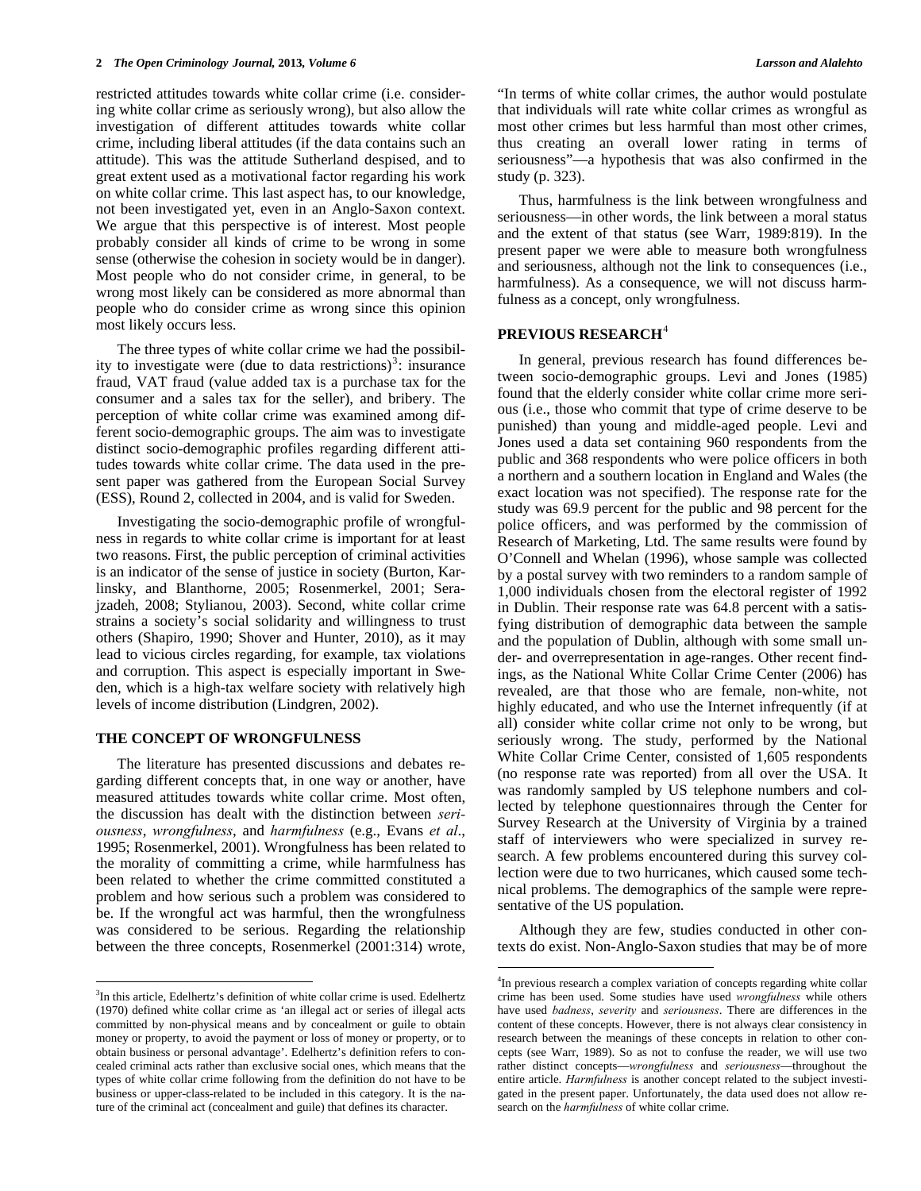restricted attitudes towards white collar crime (i.e. considering white collar crime as seriously wrong), but also allow the investigation of different attitudes towards white collar crime, including liberal attitudes (if the data contains such an attitude). This was the attitude Sutherland despised, and to great extent used as a motivational factor regarding his work on white collar crime. This last aspect has, to our knowledge, not been investigated yet, even in an Anglo-Saxon context. We argue that this perspective is of interest. Most people probably consider all kinds of crime to be wrong in some sense (otherwise the cohesion in society would be in danger). Most people who do not consider crime, in general, to be wrong most likely can be considered as more abnormal than people who do consider crime as wrong since this opinion most likely occurs less.

 The three types of white collar crime we had the possibil-ity to investigate were (due to data restrictions)<sup>[3](#page-1-0)</sup>: insurance fraud, VAT fraud (value added tax is a purchase tax for the consumer and a sales tax for the seller), and bribery. The perception of white collar crime was examined among different socio-demographic groups. The aim was to investigate distinct socio-demographic profiles regarding different attitudes towards white collar crime. The data used in the present paper was gathered from the European Social Survey (ESS), Round 2, collected in 2004, and is valid for Sweden.

 Investigating the socio-demographic profile of wrongfulness in regards to white collar crime is important for at least two reasons. First, the public perception of criminal activities is an indicator of the sense of justice in society (Burton, Karlinsky, and Blanthorne, 2005; Rosenmerkel, 2001; Serajzadeh, 2008; Stylianou, 2003). Second, white collar crime strains a society's social solidarity and willingness to trust others (Shapiro, 1990; Shover and Hunter, 2010), as it may lead to vicious circles regarding, for example, tax violations and corruption. This aspect is especially important in Sweden, which is a high-tax welfare society with relatively high levels of income distribution (Lindgren, 2002).

#### **THE CONCEPT OF WRONGFULNESS**

 $\overline{a}$ 

 The literature has presented discussions and debates regarding different concepts that, in one way or another, have measured attitudes towards white collar crime. Most often, the discussion has dealt with the distinction between *seriousness*, *wrongfulness*, and *harmfulness* (e.g., Evans *et al*., 1995; Rosenmerkel, 2001). Wrongfulness has been related to the morality of committing a crime, while harmfulness has been related to whether the crime committed constituted a problem and how serious such a problem was considered to be. If the wrongful act was harmful, then the wrongfulness was considered to be serious. Regarding the relationship between the three concepts, Rosenmerkel (2001:314) wrote, "In terms of white collar crimes, the author would postulate that individuals will rate white collar crimes as wrongful as most other crimes but less harmful than most other crimes, thus creating an overall lower rating in terms of seriousness"—a hypothesis that was also confirmed in the study (p. 323).

 Thus, harmfulness is the link between wrongfulness and seriousness—in other words, the link between a moral status and the extent of that status (see Warr, 1989:819). In the present paper we were able to measure both wrongfulness and seriousness, although not the link to consequences (i.e., harmfulness). As a consequence, we will not discuss harmfulness as a concept, only wrongfulness.

### **PREVIOUS RESEARCH**[4](#page-1-1)

 In general, previous research has found differences between socio-demographic groups. Levi and Jones (1985) found that the elderly consider white collar crime more serious (i.e., those who commit that type of crime deserve to be punished) than young and middle-aged people. Levi and Jones used a data set containing 960 respondents from the public and 368 respondents who were police officers in both a northern and a southern location in England and Wales (the exact location was not specified). The response rate for the study was 69.9 percent for the public and 98 percent for the police officers, and was performed by the commission of Research of Marketing, Ltd. The same results were found by O'Connell and Whelan (1996), whose sample was collected by a postal survey with two reminders to a random sample of 1,000 individuals chosen from the electoral register of 1992 in Dublin. Their response rate was 64.8 percent with a satisfying distribution of demographic data between the sample and the population of Dublin, although with some small under- and overrepresentation in age-ranges. Other recent findings, as the National White Collar Crime Center (2006) has revealed, are that those who are female, non-white, not highly educated, and who use the Internet infrequently (if at all) consider white collar crime not only to be wrong, but seriously wrong. The study, performed by the National White Collar Crime Center, consisted of 1,605 respondents (no response rate was reported) from all over the USA. It was randomly sampled by US telephone numbers and collected by telephone questionnaires through the Center for Survey Research at the University of Virginia by a trained staff of interviewers who were specialized in survey research. A few problems encountered during this survey collection were due to two hurricanes, which caused some technical problems. The demographics of the sample were representative of the US population.

 Although they are few, studies conducted in other contexts do exist. Non-Anglo-Saxon studies that may be of more

<span id="page-1-1"></span><span id="page-1-0"></span><sup>&</sup>lt;sup>3</sup>In this article, Edelhertz's definition of white collar crime is used. Edelhertz (1970) defined white collar crime as 'an illegal act or series of illegal acts committed by non-physical means and by concealment or guile to obtain money or property, to avoid the payment or loss of money or property, or to obtain business or personal advantage'. Edelhertz's definition refers to concealed criminal acts rather than exclusive social ones, which means that the types of white collar crime following from the definition do not have to be business or upper-class-related to be included in this category. It is the nature of the criminal act (concealment and guile) that defines its character.

<sup>&</sup>lt;sup>4</sup>In previous research a complex variation of concepts regarding white collar crime has been used. Some studies have used *wrongfulness* while others have used *badness*, *severity* and *seriousness*. There are differences in the content of these concepts. However, there is not always clear consistency in research between the meanings of these concepts in relation to other concepts (see Warr, 1989). So as not to confuse the reader, we will use two rather distinct concepts—*wrongfulness* and *seriousness*—throughout the entire article. *Harmfulness* is another concept related to the subject investigated in the present paper. Unfortunately, the data used does not allow research on the *harmfulness* of white collar crime.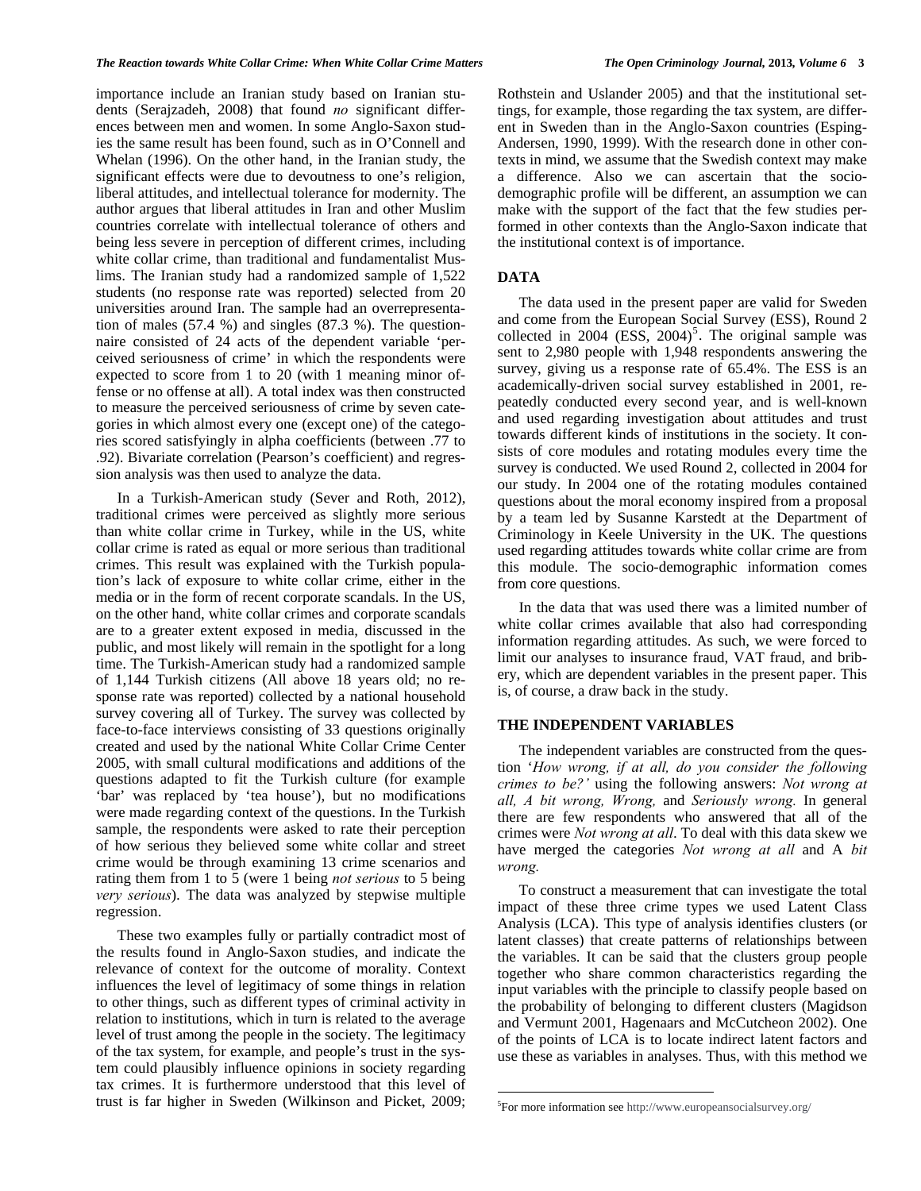importance include an Iranian study based on Iranian students (Serajzadeh, 2008) that found *no* significant differences between men and women. In some Anglo-Saxon studies the same result has been found, such as in O'Connell and Whelan (1996). On the other hand, in the Iranian study, the significant effects were due to devoutness to one's religion, liberal attitudes, and intellectual tolerance for modernity. The author argues that liberal attitudes in Iran and other Muslim countries correlate with intellectual tolerance of others and being less severe in perception of different crimes, including white collar crime, than traditional and fundamentalist Muslims. The Iranian study had a randomized sample of 1,522 students (no response rate was reported) selected from 20 universities around Iran. The sample had an overrepresentation of males (57.4 %) and singles (87.3 %). The questionnaire consisted of 24 acts of the dependent variable 'perceived seriousness of crime' in which the respondents were expected to score from 1 to 20 (with 1 meaning minor offense or no offense at all). A total index was then constructed to measure the perceived seriousness of crime by seven categories in which almost every one (except one) of the categories scored satisfyingly in alpha coefficients (between .77 to .92). Bivariate correlation (Pearson's coefficient) and regression analysis was then used to analyze the data.

 In a Turkish-American study (Sever and Roth, 2012), traditional crimes were perceived as slightly more serious than white collar crime in Turkey, while in the US, white collar crime is rated as equal or more serious than traditional crimes. This result was explained with the Turkish population's lack of exposure to white collar crime, either in the media or in the form of recent corporate scandals. In the US, on the other hand, white collar crimes and corporate scandals are to a greater extent exposed in media, discussed in the public, and most likely will remain in the spotlight for a long time. The Turkish-American study had a randomized sample of 1,144 Turkish citizens (All above 18 years old; no response rate was reported) collected by a national household survey covering all of Turkey. The survey was collected by face-to-face interviews consisting of 33 questions originally created and used by the national White Collar Crime Center 2005, with small cultural modifications and additions of the questions adapted to fit the Turkish culture (for example 'bar' was replaced by 'tea house'), but no modifications were made regarding context of the questions. In the Turkish sample, the respondents were asked to rate their perception of how serious they believed some white collar and street crime would be through examining 13 crime scenarios and rating them from 1 to 5 (were 1 being *not serious* to 5 being *very serious*). The data was analyzed by stepwise multiple regression.

<span id="page-2-0"></span> These two examples fully or partially contradict most of the results found in Anglo-Saxon studies, and indicate the relevance of context for the outcome of morality. Context influences the level of legitimacy of some things in relation to other things, such as different types of criminal activity in relation to institutions, which in turn is related to the average level of trust among the people in the society. The legitimacy of the tax system, for example, and people's trust in the system could plausibly influence opinions in society regarding tax crimes. It is furthermore understood that this level of trust is far higher in Sweden (Wilkinson and Picket, 2009;

Rothstein and Uslander 2005) and that the institutional settings, for example, those regarding the tax system, are different in Sweden than in the Anglo-Saxon countries (Esping-Andersen, 1990, 1999). With the research done in other contexts in mind, we assume that the Swedish context may make a difference. Also we can ascertain that the sociodemographic profile will be different, an assumption we can make with the support of the fact that the few studies performed in other contexts than the Anglo-Saxon indicate that the institutional context is of importance.

#### **DATA**

 The data used in the present paper are valid for Sweden and come from the European Social Survey (ESS), Round 2 collected in 2004  $(ESS, 2004)^5$  $(ESS, 2004)^5$ . The original sample was sent to 2,980 people with 1,948 respondents answering the survey, giving us a response rate of 65.4%. The ESS is an academically-driven social survey established in 2001, repeatedly conducted every second year, and is well-known and used regarding investigation about attitudes and trust towards different kinds of institutions in the society. It consists of core modules and rotating modules every time the survey is conducted. We used Round 2, collected in 2004 for our study. In 2004 one of the rotating modules contained questions about the moral economy inspired from a proposal by a team led by Susanne Karstedt at the Department of Criminology in Keele University in the UK. The questions used regarding attitudes towards white collar crime are from this module. The socio-demographic information comes from core questions.

In the data that was used there was a limited number of white collar crimes available that also had corresponding information regarding attitudes. As such, we were forced to limit our analyses to insurance fraud, VAT fraud, and bribery, which are dependent variables in the present paper. This is, of course, a draw back in the study.

#### **THE INDEPENDENT VARIABLES**

 The independent variables are constructed from the question '*How wrong, if at all, do you consider the following crimes to be?'* using the following answers: *Not wrong at all, A bit wrong, Wrong,* and *Seriously wrong.* In general there are few respondents who answered that all of the crimes were *Not wrong at all*. To deal with this data skew we have merged the categories *Not wrong at all* and A *bit wrong.*

 To construct a measurement that can investigate the total impact of these three crime types we used Latent Class Analysis (LCA). This type of analysis identifies clusters (or latent classes) that create patterns of relationships between the variables. It can be said that the clusters group people together who share common characteristics regarding the input variables with the principle to classify people based on the probability of belonging to different clusters (Magidson and Vermunt 2001, Hagenaars and McCutcheon 2002). One of the points of LCA is to locate indirect latent factors and use these as variables in analyses. Thus, with this method we

 $\overline{a}$ 

<sup>&</sup>lt;sup>5</sup>For more information see <http://www.europeansocialsurvey.org/>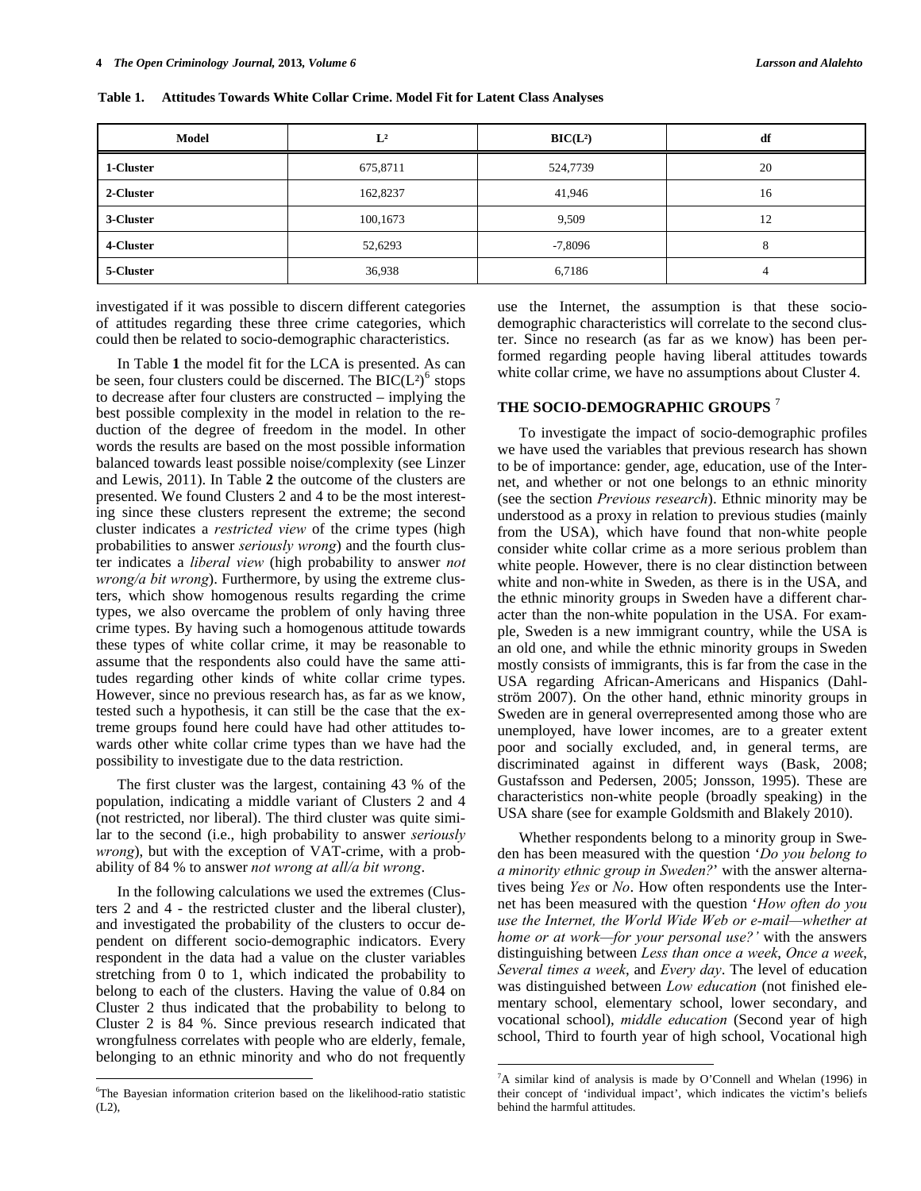| Model     | $L^2$    | BIC(L <sup>2</sup> ) | df           |
|-----------|----------|----------------------|--------------|
| 1-Cluster | 675,8711 | 524,7739             | 20           |
| 2-Cluster | 162,8237 | 41,946               | 16           |
| 3-Cluster | 100,1673 | 9,509                | 12           |
| 4-Cluster | 52,6293  | $-7,8096$            | $\circ$<br>ō |
| 5-Cluster | 36,938   | 6,7186               | 4            |

**Table 1. Attitudes Towards White Collar Crime. Model Fit for Latent Class Analyses** 

investigated if it was possible to discern different categories of attitudes regarding these three crime categories, which could then be related to socio-demographic characteristics.

 In Table **1** the model fit for the LCA is presented. As can be seen, four clusters could be discerned. The  $BIC(L^2)$ <sup>[6](#page-3-0)</sup> stops to decrease after four clusters are constructed – implying the best possible complexity in the model in relation to the reduction of the degree of freedom in the model. In other words the results are based on the most possible information balanced towards least possible noise/complexity (see Linzer and Lewis, 2011). In Table **2** the outcome of the clusters are presented. We found Clusters 2 and 4 to be the most interesting since these clusters represent the extreme; the second cluster indicates a *restricted view* of the crime types (high probabilities to answer *seriously wrong*) and the fourth cluster indicates a *liberal view* (high probability to answer *not wrong/a bit wrong*). Furthermore, by using the extreme clusters, which show homogenous results regarding the crime types, we also overcame the problem of only having three crime types. By having such a homogenous attitude towards these types of white collar crime, it may be reasonable to assume that the respondents also could have the same attitudes regarding other kinds of white collar crime types. However, since no previous research has, as far as we know, tested such a hypothesis, it can still be the case that the extreme groups found here could have had other attitudes towards other white collar crime types than we have had the possibility to investigate due to the data restriction.

 The first cluster was the largest, containing 43 % of the population, indicating a middle variant of Clusters 2 and 4 (not restricted, nor liberal). The third cluster was quite similar to the second (i.e., high probability to answer *seriously wrong*), but with the exception of VAT-crime, with a probability of 84 % to answer *not wrong at all/a bit wrong*.

 In the following calculations we used the extremes (Clusters 2 and 4 - the restricted cluster and the liberal cluster), and investigated the probability of the clusters to occur dependent on different socio-demographic indicators. Every respondent in the data had a value on the cluster variables stretching from 0 to 1, which indicated the probability to belong to each of the clusters. Having the value of 0.84 on Cluster 2 thus indicated that the probability to belong to Cluster 2 is 84 %. Since previous research indicated that wrongfulness correlates with people who are elderly, female, belonging to an ethnic minority and who do not frequently

 $\overline{a}$ 

use the Internet, the assumption is that these sociodemographic characteristics will correlate to the second cluster. Since no research (as far as we know) has been performed regarding people having liberal attitudes towards white collar crime, we have no assumptions about Cluster 4.

## **THE SOCIO-DEMOGRAPHIC GROUPS** [7](#page-3-1)

 To investigate the impact of socio-demographic profiles we have used the variables that previous research has shown to be of importance: gender, age, education, use of the Internet, and whether or not one belongs to an ethnic minority (see the section *Previous research*). Ethnic minority may be understood as a proxy in relation to previous studies (mainly from the USA), which have found that non-white people consider white collar crime as a more serious problem than white people. However, there is no clear distinction between white and non-white in Sweden, as there is in the USA, and the ethnic minority groups in Sweden have a different character than the non-white population in the USA. For example, Sweden is a new immigrant country, while the USA is an old one, and while the ethnic minority groups in Sweden mostly consists of immigrants, this is far from the case in the USA regarding African-Americans and Hispanics (Dahlström 2007). On the other hand, ethnic minority groups in Sweden are in general overrepresented among those who are unemployed, have lower incomes, are to a greater extent poor and socially excluded, and, in general terms, are discriminated against in different ways (Bask, 2008; Gustafsson and Pedersen, 2005; Jonsson, 1995). These are characteristics non-white people (broadly speaking) in the USA share (see for example Goldsmith and Blakely 2010).

 Whether respondents belong to a minority group in Sweden has been measured with the question '*Do you belong to a minority ethnic group in Sweden?*' with the answer alternatives being *Yes* or *No*. How often respondents use the Internet has been measured with the question '*How often do you use the Internet, the World Wide Web or e-mail—whether at home or at work—for your personal use?'* with the answers distinguishing between *Less than once a week*, *Once a week*, *Several times a week*, and *Every day*. The level of education was distinguished between *Low education* (not finished elementary school, elementary school, lower secondary, and vocational school), *middle education* (Second year of high school, Third to fourth year of high school, Vocational high

<span id="page-3-1"></span><span id="page-3-0"></span><sup>6</sup> The Bayesian information criterion based on the likelihood-ratio statistic (L2),

<sup>7</sup> A similar kind of analysis is made by O'Connell and Whelan (1996) in their concept of 'individual impact', which indicates the victim's beliefs behind the harmful attitudes.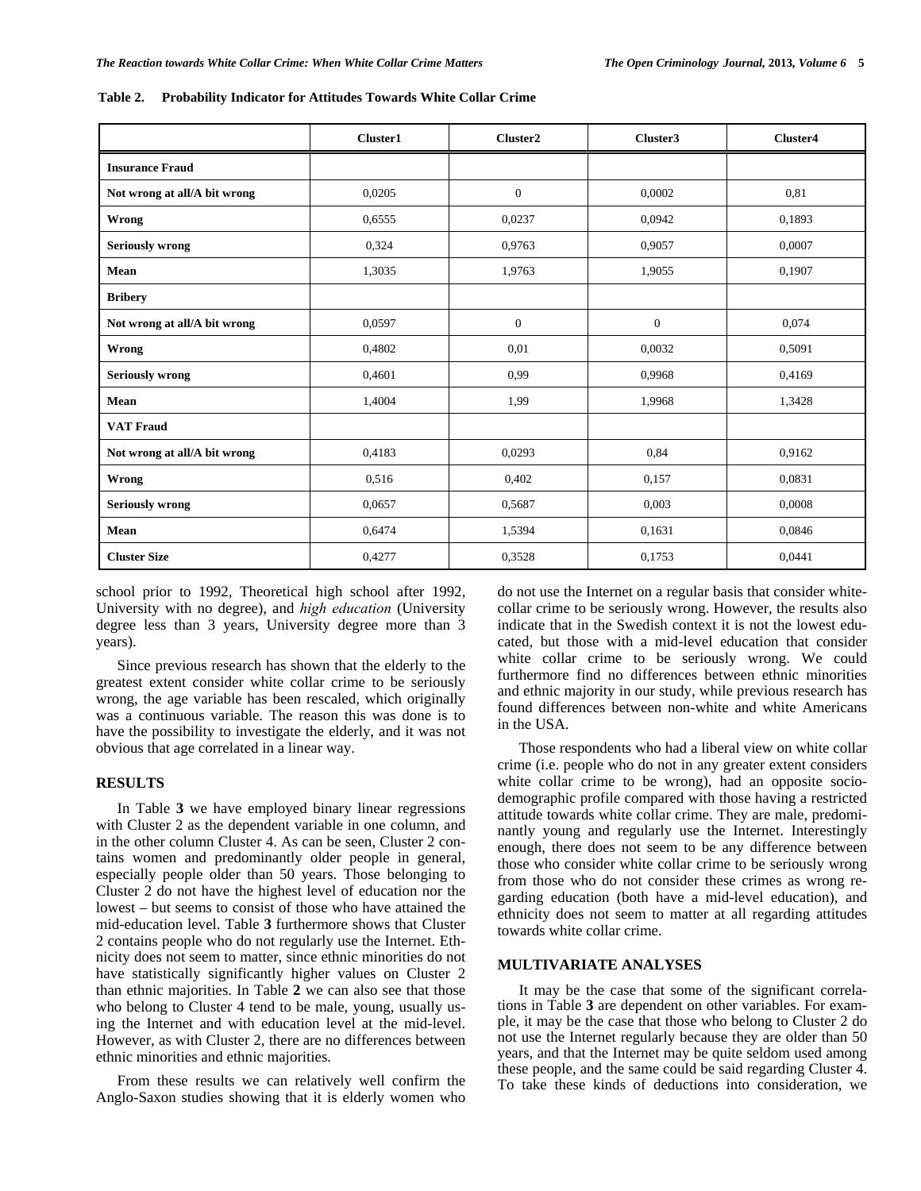|                              | Cluster1 | Cluster2       | Cluster3         | Cluster4 |
|------------------------------|----------|----------------|------------------|----------|
| <b>Insurance Fraud</b>       |          |                |                  |          |
| Not wrong at all/A bit wrong | 0,0205   | $\mathbf{0}$   | 0,0002           | 0.81     |
| Wrong                        | 0,6555   | 0,0237         | 0,0942           | 0,1893   |
| <b>Seriously wrong</b>       | 0,324    | 0.9763         | 0,9057           | 0,0007   |
| Mean                         | 1,3035   | 1,9763         | 1,9055           | 0,1907   |
| <b>Bribery</b>               |          |                |                  |          |
| Not wrong at all/A bit wrong | 0,0597   | $\overline{0}$ | $\boldsymbol{0}$ | 0,074    |
| Wrong                        | 0,4802   | 0.01           | 0,0032           | 0,5091   |
| <b>Seriously wrong</b>       | 0,4601   | 0.99           | 0,9968           | 0,4169   |
| Mean                         | 1,4004   | 1,99           | 1,9968           | 1,3428   |
| <b>VAT Fraud</b>             |          |                |                  |          |
| Not wrong at all/A bit wrong | 0,4183   | 0.0293         | 0,84             | 0,9162   |
| Wrong                        | 0,516    | 0,402          | 0,157            | 0,0831   |
| <b>Seriously wrong</b>       | 0,0657   | 0,5687         | 0,003            | 0,0008   |
| Mean                         | 0,6474   | 1,5394         | 0,1631           | 0,0846   |
| <b>Cluster Size</b>          | 0,4277   | 0,3528         | 0,1753           | 0,0441   |

**Table 2. Probability Indicator for Attitudes Towards White Collar Crime** 

school prior to 1992, Theoretical high school after 1992, University with no degree), and *high education* (University degree less than 3 years, University degree more than 3 years).

 Since previous research has shown that the elderly to the greatest extent consider white collar crime to be seriously wrong, the age variable has been rescaled, which originally was a continuous variable. The reason this was done is to have the possibility to investigate the elderly, and it was not obvious that age correlated in a linear way.

#### **RESULTS**

 In Table **3** we have employed binary linear regressions with Cluster 2 as the dependent variable in one column, and in the other column Cluster 4. As can be seen, Cluster 2 contains women and predominantly older people in general, especially people older than 50 years. Those belonging to Cluster 2 do not have the highest level of education nor the lowest – but seems to consist of those who have attained the mid-education level. Table **3** furthermore shows that Cluster 2 contains people who do not regularly use the Internet. Ethnicity does not seem to matter, since ethnic minorities do not have statistically significantly higher values on Cluster 2 than ethnic majorities. In Table **2** we can also see that those who belong to Cluster 4 tend to be male, young, usually using the Internet and with education level at the mid-level. However, as with Cluster 2, there are no differences between ethnic minorities and ethnic majorities.

 From these results we can relatively well confirm the Anglo-Saxon studies showing that it is elderly women who do not use the Internet on a regular basis that consider whitecollar crime to be seriously wrong. However, the results also indicate that in the Swedish context it is not the lowest educated, but those with a mid-level education that consider white collar crime to be seriously wrong. We could furthermore find no differences between ethnic minorities and ethnic majority in our study, while previous research has found differences between non-white and white Americans in the USA.

 Those respondents who had a liberal view on white collar crime (i.e. people who do not in any greater extent considers white collar crime to be wrong), had an opposite sociodemographic profile compared with those having a restricted attitude towards white collar crime. They are male, predominantly young and regularly use the Internet. Interestingly enough, there does not seem to be any difference between those who consider white collar crime to be seriously wrong from those who do not consider these crimes as wrong regarding education (both have a mid-level education), and ethnicity does not seem to matter at all regarding attitudes towards white collar crime.

#### **MULTIVARIATE ANALYSES**

 It may be the case that some of the significant correlations in Table **3** are dependent on other variables. For example, it may be the case that those who belong to Cluster 2 do not use the Internet regularly because they are older than 50 years, and that the Internet may be quite seldom used among these people, and the same could be said regarding Cluster 4. To take these kinds of deductions into consideration, we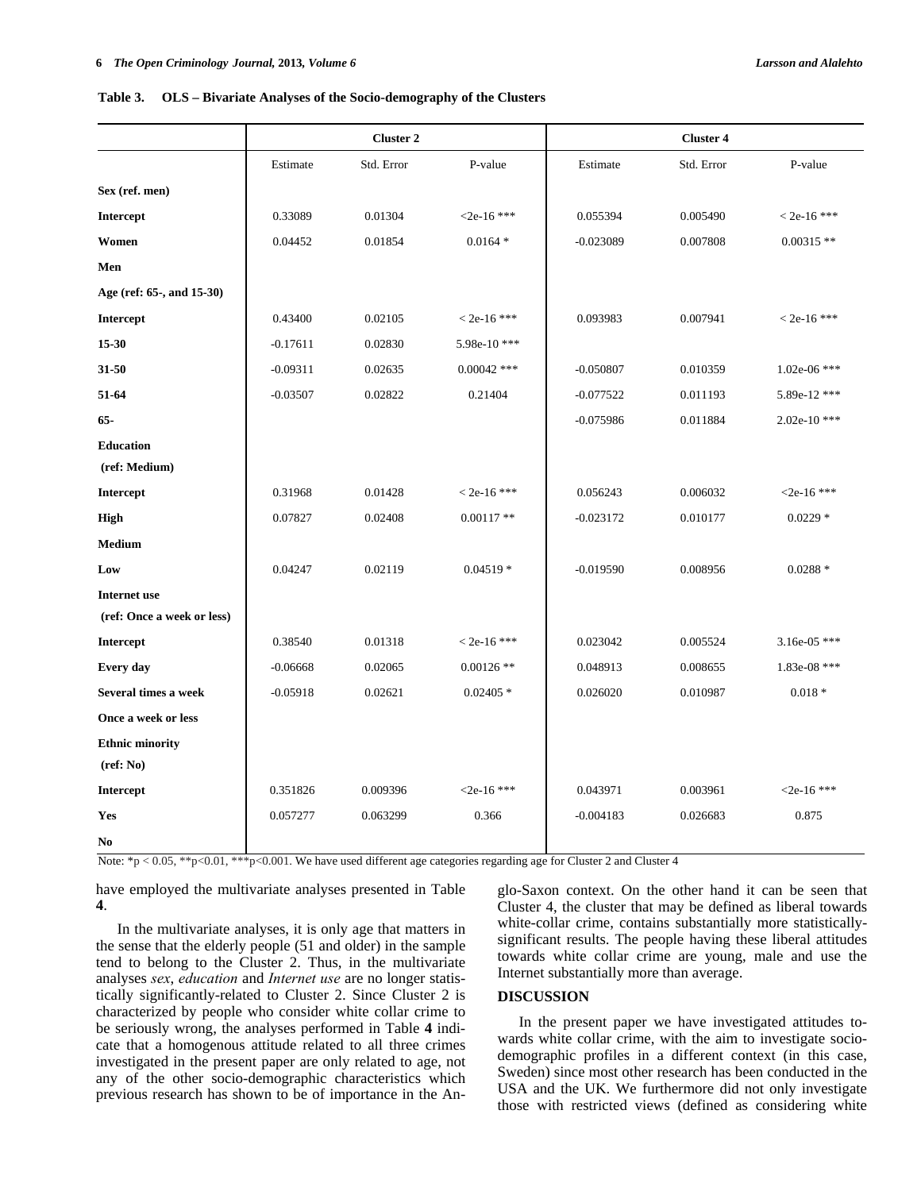|  | Table 3. OLS - Bivariate Analyses of the Socio-demography of the Clusters |  |
|--|---------------------------------------------------------------------------|--|
|  |                                                                           |  |

|                            | <b>Cluster 2</b> |            |               | <b>Cluster 4</b> |            |                |  |
|----------------------------|------------------|------------|---------------|------------------|------------|----------------|--|
|                            | Estimate         | Std. Error | P-value       | Estimate         | Std. Error | P-value        |  |
| Sex (ref. men)             |                  |            |               |                  |            |                |  |
| Intercept                  | 0.33089          | 0.01304    | $< 2e-16$ *** | 0.055394         | 0.005490   | $< 2e-16$ ***  |  |
| Women                      | 0.04452          | 0.01854    | $0.0164*$     | $-0.023089$      | 0.007808   | $0.00315$ **   |  |
| Men                        |                  |            |               |                  |            |                |  |
| Age (ref: 65-, and 15-30)  |                  |            |               |                  |            |                |  |
| <b>Intercept</b>           | 0.43400          | 0.02105    | $<$ 2e-16 *** | 0.093983         | 0.007941   | $<$ 2e-16 ***  |  |
| 15-30                      | $-0.17611$       | 0.02830    | 5.98e-10***   |                  |            |                |  |
| 31-50                      | $-0.09311$       | 0.02635    | $0.00042$ *** | $-0.050807$      | 0.010359   | $1.02e-06$ *** |  |
| 51-64                      | $-0.03507$       | 0.02822    | 0.21404       | $-0.077522$      | 0.011193   | 5.89e-12 ***   |  |
| $65 -$                     |                  |            |               | $-0.075986$      | 0.011884   | $2.02e-10$ *** |  |
| <b>Education</b>           |                  |            |               |                  |            |                |  |
| (ref: Medium)              |                  |            |               |                  |            |                |  |
| <b>Intercept</b>           | 0.31968          | 0.01428    | $< 2e-16$ *** | 0.056243         | 0.006032   | $2e-16$ ***    |  |
| High                       | 0.07827          | 0.02408    | $0.00117**$   | $-0.023172$      | 0.010177   | $0.0229*$      |  |
| <b>Medium</b>              |                  |            |               |                  |            |                |  |
| Low                        | 0.04247          | 0.02119    | $0.04519*$    | $-0.019590$      | 0.008956   | $0.0288*$      |  |
| <b>Internet use</b>        |                  |            |               |                  |            |                |  |
| (ref: Once a week or less) |                  |            |               |                  |            |                |  |
| Intercept                  | 0.38540          | 0.01318    | $< 2e-16$ *** | 0.023042         | 0.005524   | $3.16e-05$ *** |  |
| Every day                  | $-0.06668$       | 0.02065    | $0.00126$ **  | 0.048913         | 0.008655   | 1.83e-08 ***   |  |
| Several times a week       | $-0.05918$       | 0.02621    | $0.02405*$    | 0.026020         | 0.010987   | $0.018*$       |  |
| Once a week or less        |                  |            |               |                  |            |                |  |
| <b>Ethnic minority</b>     |                  |            |               |                  |            |                |  |
| $(\text{ref: No})$         |                  |            |               |                  |            |                |  |
| Intercept                  | 0.351826         | 0.009396   | $<$ 2e-16 *** | 0.043971         | 0.003961   | $<$ 2e-16 ***  |  |
| Yes                        | 0.057277         | 0.063299   | 0.366         | $-0.004183$      | 0.026683   | 0.875          |  |
| No                         |                  |            |               |                  |            |                |  |

Note: \*p < 0.05, \*\*p<0.01, \*\*\*p<0.001. We have used different age categories regarding age for Cluster 2 and Cluster 4

have employed the multivariate analyses presented in Table **4**.

 In the multivariate analyses, it is only age that matters in the sense that the elderly people (51 and older) in the sample tend to belong to the Cluster 2. Thus, in the multivariate analyses *sex*, *education* and *Internet use* are no longer statistically significantly-related to Cluster 2. Since Cluster 2 is characterized by people who consider white collar crime to be seriously wrong, the analyses performed in Table **4** indicate that a homogenous attitude related to all three crimes investigated in the present paper are only related to age, not any of the other socio-demographic characteristics which previous research has shown to be of importance in the Anglo-Saxon context. On the other hand it can be seen that Cluster 4, the cluster that may be defined as liberal towards white-collar crime, contains substantially more statisticallysignificant results. The people having these liberal attitudes towards white collar crime are young, male and use the Internet substantially more than average.

#### **DISCUSSION**

 In the present paper we have investigated attitudes towards white collar crime, with the aim to investigate sociodemographic profiles in a different context (in this case, Sweden) since most other research has been conducted in the USA and the UK. We furthermore did not only investigate those with restricted views (defined as considering white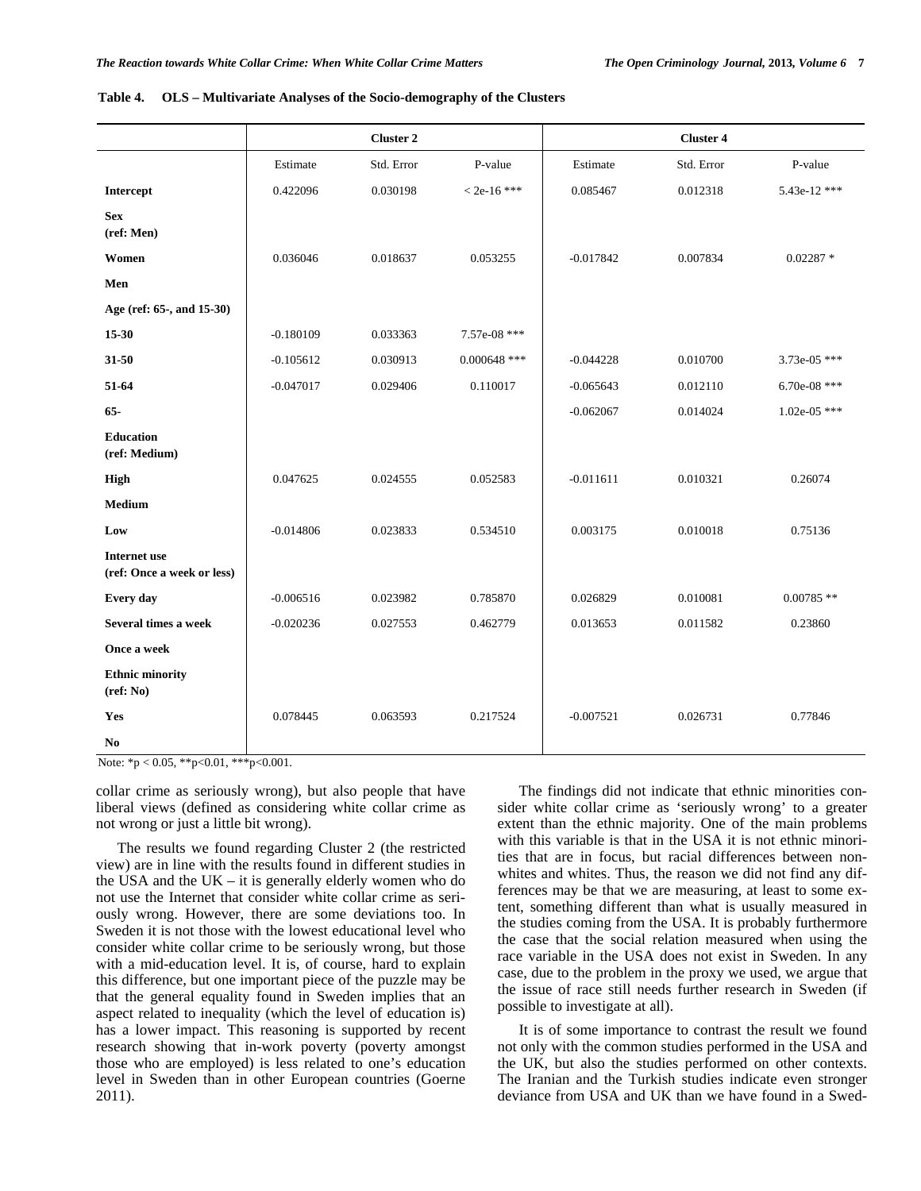|                                                   |             | <b>Cluster 2</b> |                |             | <b>Cluster 4</b> |                |
|---------------------------------------------------|-------------|------------------|----------------|-------------|------------------|----------------|
|                                                   | Estimate    | Std. Error       | P-value        | Estimate    | Std. Error       | P-value        |
| Intercept                                         | 0.422096    | 0.030198         | $< 2e-16$ ***  | 0.085467    | 0.012318         | 5.43e-12 ***   |
| <b>Sex</b><br>(ref: Men)                          |             |                  |                |             |                  |                |
| Women                                             | 0.036046    | 0.018637         | 0.053255       | $-0.017842$ | 0.007834         | $0.02287*$     |
| Men                                               |             |                  |                |             |                  |                |
| Age (ref: 65-, and 15-30)                         |             |                  |                |             |                  |                |
| $15-30$                                           | $-0.180109$ | 0.033363         | 7.57e-08 ***   |             |                  |                |
| $31 - 50$                                         | $-0.105612$ | 0.030913         | $0.000648$ *** | $-0.044228$ | 0.010700         | $3.73e-05$ *** |
| 51-64                                             | $-0.047017$ | 0.029406         | 0.110017       | $-0.065643$ | 0.012110         | 6.70e-08 ***   |
| $65 -$                                            |             |                  |                | $-0.062067$ | 0.014024         | $1.02e-05$ *** |
| <b>Education</b><br>(ref: Medium)                 |             |                  |                |             |                  |                |
| High                                              | 0.047625    | 0.024555         | 0.052583       | $-0.011611$ | 0.010321         | 0.26074        |
| Medium                                            |             |                  |                |             |                  |                |
| Low                                               | $-0.014806$ | 0.023833         | 0.534510       | 0.003175    | 0.010018         | 0.75136        |
| <b>Internet use</b><br>(ref: Once a week or less) |             |                  |                |             |                  |                |
| Every day                                         | $-0.006516$ | 0.023982         | 0.785870       | 0.026829    | 0.010081         | $0.00785$ **   |
| Several times a week                              | $-0.020236$ | 0.027553         | 0.462779       | 0.013653    | 0.011582         | 0.23860        |
| Once a week                                       |             |                  |                |             |                  |                |
| <b>Ethnic minority</b><br>$(\text{ref: No})$      |             |                  |                |             |                  |                |
| Yes                                               | 0.078445    | 0.063593         | 0.217524       | $-0.007521$ | 0.026731         | 0.77846        |
| N <sub>0</sub><br>0.01<br>$0 -$                   | 0.001       |                  |                |             |                  |                |

| Table 4. | OLS - Multivariate Analyses of the Socio-demography of the Clusters |  |  |  |
|----------|---------------------------------------------------------------------|--|--|--|
|          |                                                                     |  |  |  |

Note: \*p < 0.05, \*\*p<0.01, \*\*\*p<0.001.

collar crime as seriously wrong), but also people that have liberal views (defined as considering white collar crime as not wrong or just a little bit wrong).

 The results we found regarding Cluster 2 (the restricted view) are in line with the results found in different studies in the USA and the UK – it is generally elderly women who do not use the Internet that consider white collar crime as seriously wrong. However, there are some deviations too. In Sweden it is not those with the lowest educational level who consider white collar crime to be seriously wrong, but those with a mid-education level. It is, of course, hard to explain this difference, but one important piece of the puzzle may be that the general equality found in Sweden implies that an aspect related to inequality (which the level of education is) has a lower impact. This reasoning is supported by recent research showing that in-work poverty (poverty amongst those who are employed) is less related to one's education level in Sweden than in other European countries (Goerne 2011).

 The findings did not indicate that ethnic minorities consider white collar crime as 'seriously wrong' to a greater extent than the ethnic majority. One of the main problems with this variable is that in the USA it is not ethnic minorities that are in focus, but racial differences between nonwhites and whites. Thus, the reason we did not find any differences may be that we are measuring, at least to some extent, something different than what is usually measured in the studies coming from the USA. It is probably furthermore the case that the social relation measured when using the race variable in the USA does not exist in Sweden. In any case, due to the problem in the proxy we used, we argue that the issue of race still needs further research in Sweden (if possible to investigate at all).

 It is of some importance to contrast the result we found not only with the common studies performed in the USA and the UK, but also the studies performed on other contexts. The Iranian and the Turkish studies indicate even stronger deviance from USA and UK than we have found in a Swed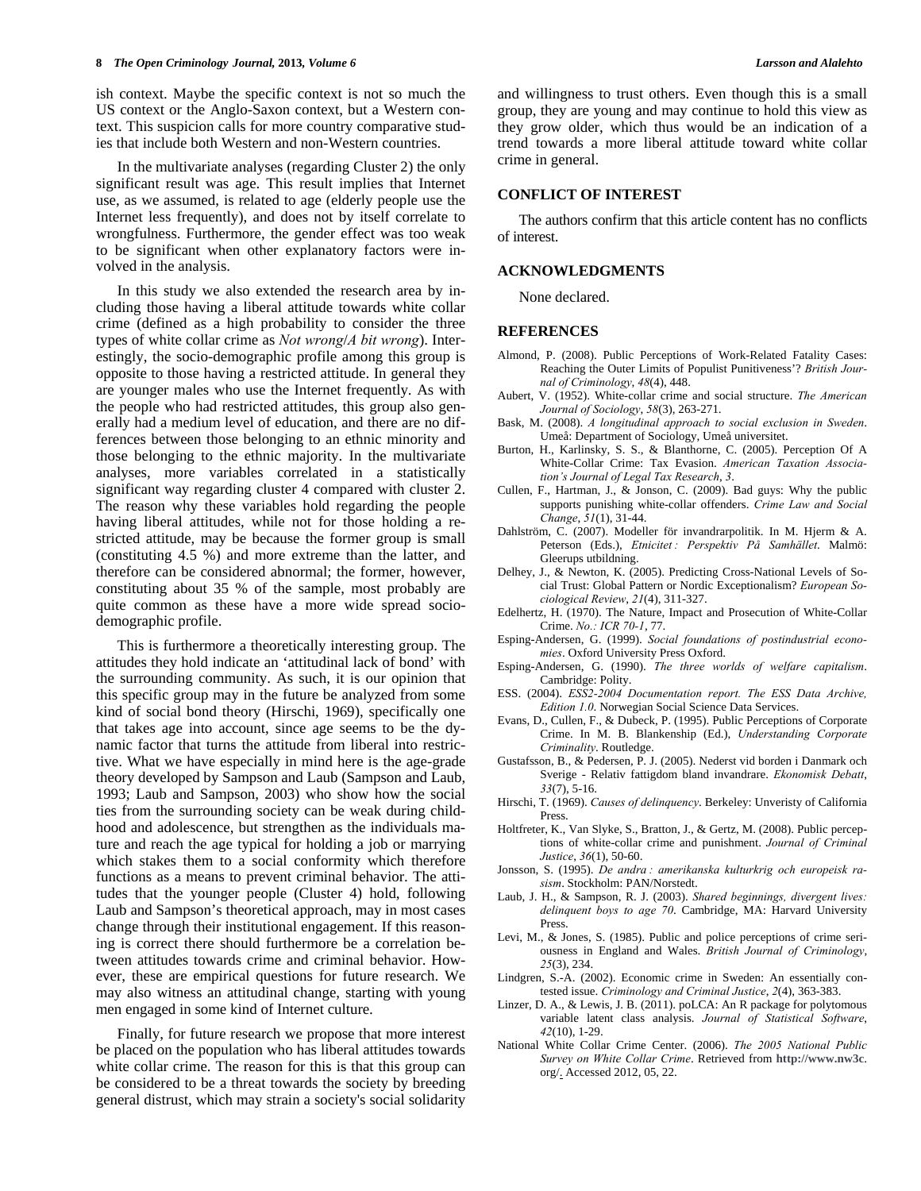ish context. Maybe the specific context is not so much the US context or the Anglo-Saxon context, but a Western context. This suspicion calls for more country comparative studies that include both Western and non-Western countries.

 In the multivariate analyses (regarding Cluster 2) the only significant result was age. This result implies that Internet use, as we assumed, is related to age (elderly people use the Internet less frequently), and does not by itself correlate to wrongfulness. Furthermore, the gender effect was too weak to be significant when other explanatory factors were involved in the analysis.

 In this study we also extended the research area by including those having a liberal attitude towards white collar crime (defined as a high probability to consider the three types of white collar crime as *Not wrong*/*A bit wrong*). Interestingly, the socio-demographic profile among this group is opposite to those having a restricted attitude. In general they are younger males who use the Internet frequently. As with the people who had restricted attitudes, this group also generally had a medium level of education, and there are no differences between those belonging to an ethnic minority and those belonging to the ethnic majority. In the multivariate analyses, more variables correlated in a statistically significant way regarding cluster 4 compared with cluster 2. The reason why these variables hold regarding the people having liberal attitudes, while not for those holding a restricted attitude, may be because the former group is small (constituting 4.5 %) and more extreme than the latter, and therefore can be considered abnormal; the former, however, constituting about 35 % of the sample, most probably are quite common as these have a more wide spread sociodemographic profile.

 This is furthermore a theoretically interesting group. The attitudes they hold indicate an 'attitudinal lack of bond' with the surrounding community. As such, it is our opinion that this specific group may in the future be analyzed from some kind of social bond theory (Hirschi, 1969), specifically one that takes age into account, since age seems to be the dynamic factor that turns the attitude from liberal into restrictive. What we have especially in mind here is the age-grade theory developed by Sampson and Laub (Sampson and Laub, 1993; Laub and Sampson, 2003) who show how the social ties from the surrounding society can be weak during childhood and adolescence, but strengthen as the individuals mature and reach the age typical for holding a job or marrying which stakes them to a social conformity which therefore functions as a means to prevent criminal behavior. The attitudes that the younger people (Cluster 4) hold, following Laub and Sampson's theoretical approach, may in most cases change through their institutional engagement. If this reasoning is correct there should furthermore be a correlation between attitudes towards crime and criminal behavior. However, these are empirical questions for future research. We may also witness an attitudinal change, starting with young men engaged in some kind of Internet culture.

 Finally, for future research we propose that more interest be placed on the population who has liberal attitudes towards white collar crime. The reason for this is that this group can be considered to be a threat towards the society by breeding general distrust, which may strain a society's social solidarity

and willingness to trust others. Even though this is a small group, they are young and may continue to hold this view as they grow older, which thus would be an indication of a trend towards a more liberal attitude toward white collar crime in general.

#### **CONFLICT OF INTEREST**

 The authors confirm that this article content has no conflicts of interest.

#### **ACKNOWLEDGMENTS**

None declared.

#### **REFERENCES**

- Almond, P. (2008). Public Perceptions of Work-Related Fatality Cases: Reaching the Outer Limits of Populist Punitiveness'? *British Journal of Criminology*, *48*(4), 448.
- Aubert, V. (1952). White-collar crime and social structure. *The American Journal of Sociology*, *58*(3), 263-271.
- Bask, M. (2008). *A longitudinal approach to social exclusion in Sweden*. Umeå: Department of Sociology, Umeå universitet.
- Burton, H., Karlinsky, S. S., & Blanthorne, C. (2005). Perception Of A White-Collar Crime: Tax Evasion. *American Taxation Association's Journal of Legal Tax Research*, *3*.
- Cullen, F., Hartman, J., & Jonson, C. (2009). Bad guys: Why the public supports punishing white-collar offenders. *Crime Law and Social Change*, *51*(1), 31-44.
- Dahlström, C. (2007). Modeller för invandrarpolitik. In M. Hjerm & A. Peterson (Eds.), *Etnicitet : Perspektiv På Samhället*. Malmö: Gleerups utbildning.
- Delhey, J., & Newton, K. (2005). Predicting Cross-National Levels of Social Trust: Global Pattern or Nordic Exceptionalism? *European Sociological Review*, *21*(4), 311-327.
- Edelhertz, H. (1970). The Nature, Impact and Prosecution of White-Collar Crime. *No.: ICR 70-1*, 77.
- Esping-Andersen, G. (1999). *Social foundations of postindustrial economies*. Oxford University Press Oxford.
- Esping-Andersen, G. (1990). *The three worlds of welfare capitalism*. Cambridge: Polity.
- ESS. (2004). *ESS2-2004 Documentation report. The ESS Data Archive, Edition 1.0*. Norwegian Social Science Data Services.
- Evans, D., Cullen, F., & Dubeck, P. (1995). Public Perceptions of Corporate Crime. In M. B. Blankenship (Ed.), *Understanding Corporate Criminality*. Routledge.
- Gustafsson, B., & Pedersen, P. J. (2005). Nederst vid borden i Danmark och Sverige - Relativ fattigdom bland invandrare. *Ekonomisk Debatt*, *33*(7), 5-16.
- Hirschi, T. (1969). *Causes of delinquency*. Berkeley: Unveristy of California Press.
- Holtfreter, K., Van Slyke, S., Bratton, J., & Gertz, M. (2008). Public perceptions of white-collar crime and punishment. *Journal of Criminal Justice*, *36*(1), 50-60.
- Jonsson, S. (1995). *De andra : amerikanska kulturkrig och europeisk rasism*. Stockholm: PAN/Norstedt.
- Laub, J. H., & Sampson, R. J. (2003). *Shared beginnings, divergent lives: delinquent boys to age 70*. Cambridge, MA: Harvard University Press.
- Levi, M., & Jones, S. (1985). Public and police perceptions of crime seriousness in England and Wales. *British Journal of Criminology*, *25*(3), 234.
- Lindgren, S.-A. (2002). Economic crime in Sweden: An essentially contested issue. *Criminology and Criminal Justice*, *2*(4), 363-383.
- Linzer, D. A., & Lewis, J. B. (2011). poLCA: An R package for polytomous variable latent class analysis. *Journal of Statistical Software*, *42*(10), 1-29.
- National White Collar Crime Center. (2006). *The 2005 National Public Survey on White Collar Crime*. Retrieved from **[http://www.nw3c](http://www.nw3c/)**. org/. Accessed 2012, 05, 22.